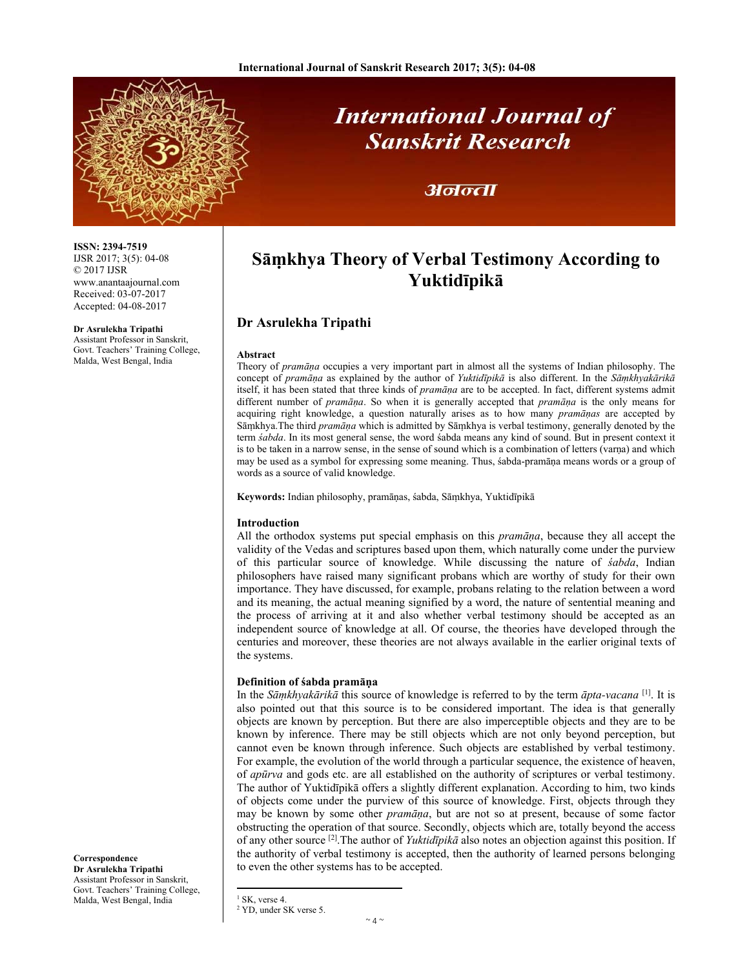

# **International Journal of Sanskrit Research**

## अनन्ता

# **Sāṃkhya Theory of Verbal Testimony According to Yuktidīpikā**

### **Dr Asrulekha Tripathi**

#### **Abstract**

Theory of *pramāṇa* occupies a very important part in almost all the systems of Indian philosophy. The concept of *pramāṇa* as explained by the author of *Yuktidīpikā* is also different. In the *Sāṃkhyakārikā* itself, it has been stated that three kinds of *pramāṇa* are to be accepted. In fact, different systems admit different number of *pramāṇa*. So when it is generally accepted that *pramāṇa* is the only means for acquiring right knowledge, a question naturally arises as to how many *pramāṇas* are accepted by Sāṃkhya.The third *pramāṇa* which is admitted by Sāṃkhya is verbal testimony, generally denoted by the term *śabda*. In its most general sense, the word śabda means any kind of sound. But in present context it is to be taken in a narrow sense, in the sense of sound which is a combination of letters (varna) and which may be used as a symbol for expressing some meaning. Thus, śabda-pramāṇa means words or a group of words as a source of valid knowledge.

**Keywords:** Indian philosophy, pramāṇas, śabda, Sāṃkhya, Yuktidīpikā

#### **Introduction**

All the orthodox systems put special emphasis on this *pramāṇa*, because they all accept the validity of the Vedas and scriptures based upon them, which naturally come under the purview of this particular source of knowledge. While discussing the nature of *śabda*, Indian philosophers have raised many significant probans which are worthy of study for their own importance. They have discussed, for example, probans relating to the relation between a word and its meaning, the actual meaning signified by a word, the nature of sentential meaning and the process of arriving at it and also whether verbal testimony should be accepted as an independent source of knowledge at all. Of course, the theories have developed through the centuries and moreover, these theories are not always available in the earlier original texts of the systems.

#### **Definition of śabda pramāṇa**

 $<sup>1</sup>$  SK, verse 4.</sup> 2 YD, under SK verse 5.

In the *Sāṃkhyakārikā* this source of knowledge is referred to by the term *āpta-vacana* [1]. It is also pointed out that this source is to be considered important. The idea is that generally objects are known by perception. But there are also imperceptible objects and they are to be known by inference. There may be still objects which are not only beyond perception, but cannot even be known through inference. Such objects are established by verbal testimony. For example, the evolution of the world through a particular sequence, the existence of heaven, of *apūrva* and gods etc. are all established on the authority of scriptures or verbal testimony. The author of Yuktidīpikā offers a slightly different explanation. According to him, two kinds of objects come under the purview of this source of knowledge. First, objects through they may be known by some other *pramāṇa*, but are not so at present, because of some factor obstructing the operation of that source. Secondly, objects which are, totally beyond the access of any other source [2].The author of *Yuktidīpikā* also notes an objection against this position. If the authority of verbal testimony is accepted, then the authority of learned persons belonging to even the other systems has to be accepted.

**Correspondence Dr Asrulekha Tripathi**  Assistant Professor in Sanskrit, Govt. Teachers' Training College, Malda, West Bengal, India

IJSR 2017; 3(5): 04-08 © 2017 IJSR www.anantaajournal.com Received: 03-07-2017 Accepted: 04-08-2017

**Dr Asrulekha Tripathi**  Assistant Professor in Sanskrit,

Govt. Teachers' Training College, Malda, West Bengal, India

**ISSN: 2394-7519**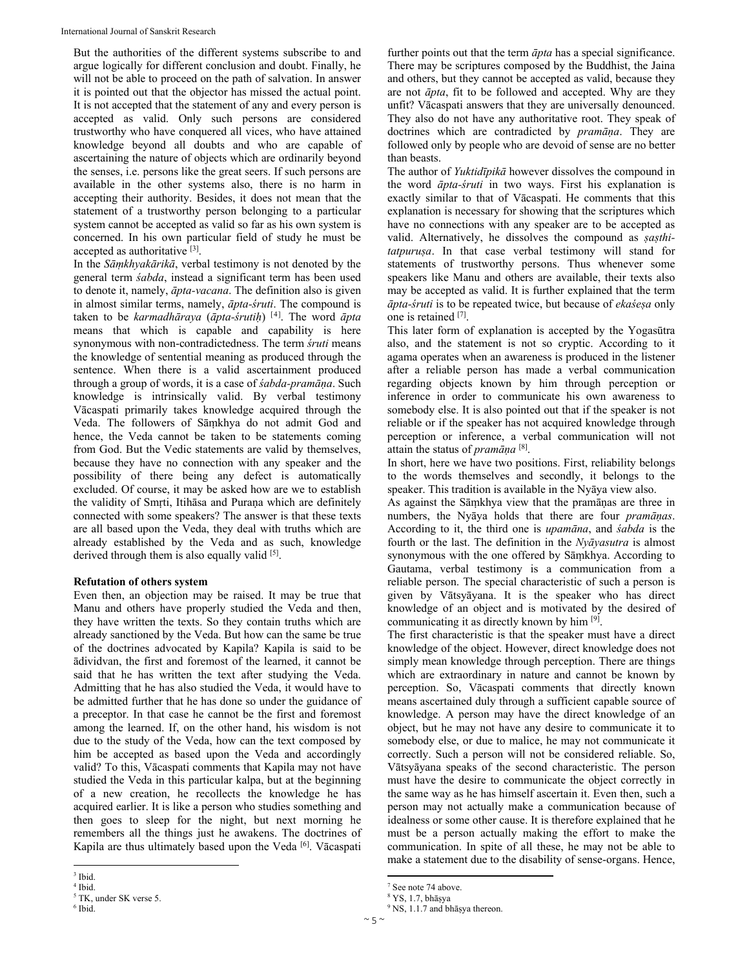But the authorities of the different systems subscribe to and argue logically for different conclusion and doubt. Finally, he will not be able to proceed on the path of salvation. In answer it is pointed out that the objector has missed the actual point. It is not accepted that the statement of any and every person is accepted as valid. Only such persons are considered trustworthy who have conquered all vices, who have attained knowledge beyond all doubts and who are capable of ascertaining the nature of objects which are ordinarily beyond the senses, i.e. persons like the great seers. If such persons are available in the other systems also, there is no harm in accepting their authority. Besides, it does not mean that the statement of a trustworthy person belonging to a particular system cannot be accepted as valid so far as his own system is concerned. In his own particular field of study he must be accepted as authoritative [3].

In the *Sāṃkhyakārikā*, verbal testimony is not denoted by the general term *śabda*, instead a significant term has been used to denote it, namely, *āpta-vacana*. The definition also is given in almost similar terms, namely, *āpta-śruti*. The compound is taken to be *karmadhāraya* (*āpta-śrutiḥ*) [4]. The word *āpta* means that which is capable and capability is here synonymous with non-contradictedness. The term *śruti* means the knowledge of sentential meaning as produced through the sentence. When there is a valid ascertainment produced through a group of words, it is a case of *śabda-pramāṇa*. Such knowledge is intrinsically valid. By verbal testimony Vācaspati primarily takes knowledge acquired through the Veda. The followers of Sāṃkhya do not admit God and hence, the Veda cannot be taken to be statements coming from God. But the Vedic statements are valid by themselves, because they have no connection with any speaker and the possibility of there being any defect is automatically excluded. Of course, it may be asked how are we to establish the validity of Smṛti, Itihāsa and Puraṇa which are definitely connected with some speakers? The answer is that these texts are all based upon the Veda, they deal with truths which are already established by the Veda and as such, knowledge derived through them is also equally valid [5].

#### **Refutation of others system**

Even then, an objection may be raised. It may be true that Manu and others have properly studied the Veda and then, they have written the texts. So they contain truths which are already sanctioned by the Veda. But how can the same be true of the doctrines advocated by Kapila? Kapila is said to be ādividvan, the first and foremost of the learned, it cannot be said that he has written the text after studying the Veda. Admitting that he has also studied the Veda, it would have to be admitted further that he has done so under the guidance of a preceptor. In that case he cannot be the first and foremost among the learned. If, on the other hand, his wisdom is not due to the study of the Veda, how can the text composed by him be accepted as based upon the Veda and accordingly valid? To this, Vācaspati comments that Kapila may not have studied the Veda in this particular kalpa, but at the beginning of a new creation, he recollects the knowledge he has acquired earlier. It is like a person who studies something and then goes to sleep for the night, but next morning he remembers all the things just he awakens. The doctrines of Kapila are thus ultimately based upon the Veda [6]. Vācaspati

The author of *Yuktidīpikā* however dissolves the compound in the word *āpta-śruti* in two ways. First his explanation is exactly similar to that of Vācaspati. He comments that this explanation is necessary for showing that the scriptures which have no connections with any speaker are to be accepted as valid. Alternatively, he dissolves the compound as *ṣaṣthitatpuruṣa*. In that case verbal testimony will stand for statements of trustworthy persons. Thus whenever some speakers like Manu and others are available, their texts also may be accepted as valid. It is further explained that the term *āpta-śruti* is to be repeated twice, but because of *ekaśeṣa* only one is retained [7].

This later form of explanation is accepted by the Yogasūtra also, and the statement is not so cryptic. According to it agama operates when an awareness is produced in the listener after a reliable person has made a verbal communication regarding objects known by him through perception or inference in order to communicate his own awareness to somebody else. It is also pointed out that if the speaker is not reliable or if the speaker has not acquired knowledge through perception or inference, a verbal communication will not attain the status of *pramāṇa* [8].

In short, here we have two positions. First, reliability belongs to the words themselves and secondly, it belongs to the speaker. This tradition is available in the Nyāya view also.

As against the Sāṃkhya view that the pramāṇas are three in numbers, the Nyāya holds that there are four *pramāṇas*. According to it, the third one is *upamāna*, and *śabda* is the fourth or the last. The definition in the *Nyāyasutra* is almost synonymous with the one offered by Sāṃkhya. According to Gautama, verbal testimony is a communication from a reliable person. The special characteristic of such a person is given by Vātsyāyana. It is the speaker who has direct knowledge of an object and is motivated by the desired of communicating it as directly known by him [9].

The first characteristic is that the speaker must have a direct knowledge of the object. However, direct knowledge does not simply mean knowledge through perception. There are things which are extraordinary in nature and cannot be known by perception. So, Vācaspati comments that directly known means ascertained duly through a sufficient capable source of knowledge. A person may have the direct knowledge of an object, but he may not have any desire to communicate it to somebody else, or due to malice, he may not communicate it correctly. Such a person will not be considered reliable. So, Vātsyāyana speaks of the second characteristic. The person must have the desire to communicate the object correctly in the same way as he has himself ascertain it. Even then, such a person may not actually make a communication because of idealness or some other cause. It is therefore explained that he must be a person actually making the effort to make the communication. In spite of all these, he may not be able to make a statement due to the disability of sense-organs. Hence,

further points out that the term *āpta* has a special significance. There may be scriptures composed by the Buddhist, the Jaina and others, but they cannot be accepted as valid, because they are not *āpta*, fit to be followed and accepted. Why are they unfit? Vācaspati answers that they are universally denounced. They also do not have any authoritative root. They speak of doctrines which are contradicted by *pramāṇa*. They are followed only by people who are devoid of sense are no better than beasts.

<sup>3</sup> Ibid.

<sup>4</sup> Ibid.

<sup>5</sup> TK, under SK verse 5.

<sup>6</sup> Ibid.

<sup>7</sup> See note 74 above.

 $8 \text{ YS}, 1.7, \text{bhāsya}$ <br> $9 \text{ NS}$  1.1.7 and bh

<sup>&</sup>lt;sup>9</sup> NS, 1.1.7 and bhāṣya thereon.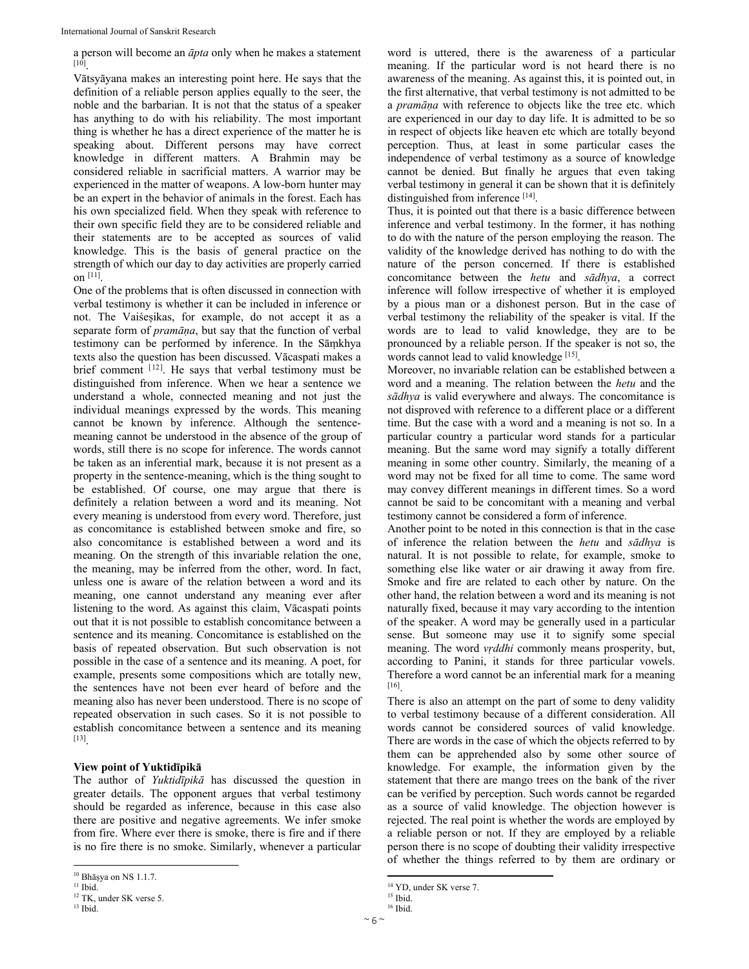a person will become an *āpta* only when he makes a statement [10].

Vātsyāyana makes an interesting point here. He says that the definition of a reliable person applies equally to the seer, the noble and the barbarian. It is not that the status of a speaker has anything to do with his reliability. The most important thing is whether he has a direct experience of the matter he is speaking about. Different persons may have correct knowledge in different matters. A Brahmin may be considered reliable in sacrificial matters. A warrior may be experienced in the matter of weapons. A low-born hunter may be an expert in the behavior of animals in the forest. Each has his own specialized field. When they speak with reference to their own specific field they are to be considered reliable and their statements are to be accepted as sources of valid knowledge. This is the basis of general practice on the strength of which our day to day activities are properly carried on  $[11]$ .

One of the problems that is often discussed in connection with verbal testimony is whether it can be included in inference or not. The Vaiśeṣikas, for example, do not accept it as a separate form of *pramāṇa*, but say that the function of verbal testimony can be performed by inference. In the Sāṃkhya texts also the question has been discussed. Vācaspati makes a brief comment [12]. He says that verbal testimony must be distinguished from inference. When we hear a sentence we understand a whole, connected meaning and not just the individual meanings expressed by the words. This meaning cannot be known by inference. Although the sentencemeaning cannot be understood in the absence of the group of words, still there is no scope for inference. The words cannot be taken as an inferential mark, because it is not present as a property in the sentence-meaning, which is the thing sought to be established. Of course, one may argue that there is definitely a relation between a word and its meaning. Not every meaning is understood from every word. Therefore, just as concomitance is established between smoke and fire, so also concomitance is established between a word and its meaning. On the strength of this invariable relation the one, the meaning, may be inferred from the other, word. In fact, unless one is aware of the relation between a word and its meaning, one cannot understand any meaning ever after listening to the word. As against this claim, Vācaspati points out that it is not possible to establish concomitance between a sentence and its meaning. Concomitance is established on the basis of repeated observation. But such observation is not possible in the case of a sentence and its meaning. A poet, for example, presents some compositions which are totally new, the sentences have not been ever heard of before and the meaning also has never been understood. There is no scope of repeated observation in such cases. So it is not possible to establish concomitance between a sentence and its meaning [13].

#### **View point of Yuktidīpikā**

The author of *Yuktidīpikā* has discussed the question in greater details. The opponent argues that verbal testimony should be regarded as inference, because in this case also there are positive and negative agreements. We infer smoke from fire. Where ever there is smoke, there is fire and if there is no fire there is no smoke. Similarly, whenever a particular

word is uttered, there is the awareness of a particular meaning. If the particular word is not heard there is no awareness of the meaning. As against this, it is pointed out, in the first alternative, that verbal testimony is not admitted to be a *pramāṇa* with reference to objects like the tree etc. which are experienced in our day to day life. It is admitted to be so in respect of objects like heaven etc which are totally beyond perception. Thus, at least in some particular cases the independence of verbal testimony as a source of knowledge cannot be denied. But finally he argues that even taking verbal testimony in general it can be shown that it is definitely distinguished from inference [14].

Thus, it is pointed out that there is a basic difference between inference and verbal testimony. In the former, it has nothing to do with the nature of the person employing the reason. The validity of the knowledge derived has nothing to do with the nature of the person concerned. If there is established concomitance between the *hetu* and *sādhya*, a correct inference will follow irrespective of whether it is employed by a pious man or a dishonest person. But in the case of verbal testimony the reliability of the speaker is vital. If the words are to lead to valid knowledge, they are to be pronounced by a reliable person. If the speaker is not so, the words cannot lead to valid knowledge [15].

Moreover, no invariable relation can be established between a word and a meaning. The relation between the *hetu* and the *sādhya* is valid everywhere and always. The concomitance is not disproved with reference to a different place or a different time. But the case with a word and a meaning is not so. In a particular country a particular word stands for a particular meaning. But the same word may signify a totally different meaning in some other country. Similarly, the meaning of a word may not be fixed for all time to come. The same word may convey different meanings in different times. So a word cannot be said to be concomitant with a meaning and verbal testimony cannot be considered a form of inference.

Another point to be noted in this connection is that in the case of inference the relation between the *hetu* and *sādhya* is natural. It is not possible to relate, for example, smoke to something else like water or air drawing it away from fire. Smoke and fire are related to each other by nature. On the other hand, the relation between a word and its meaning is not naturally fixed, because it may vary according to the intention of the speaker. A word may be generally used in a particular sense. But someone may use it to signify some special meaning. The word *vṛddhi* commonly means prosperity, but, according to Panini, it stands for three particular vowels. Therefore a word cannot be an inferential mark for a meaning [16].

There is also an attempt on the part of some to deny validity to verbal testimony because of a different consideration. All words cannot be considered sources of valid knowledge. There are words in the case of which the objects referred to by them can be apprehended also by some other source of knowledge. For example, the information given by the statement that there are mango trees on the bank of the river can be verified by perception. Such words cannot be regarded as a source of valid knowledge. The objection however is rejected. The real point is whether the words are employed by a reliable person or not. If they are employed by a reliable person there is no scope of doubting their validity irrespective of whether the things referred to by them are ordinary or

 $^{10}$  Bhāṣya on NS 1.1.7.  $^{11}$  Ibid.

<sup>12</sup> TK, under SK verse 5.  $13$  Ibid.

<sup>14</sup> YD, under SK verse 7.

<sup>&</sup>lt;sup>15</sup> Ibid. 16 Ibid.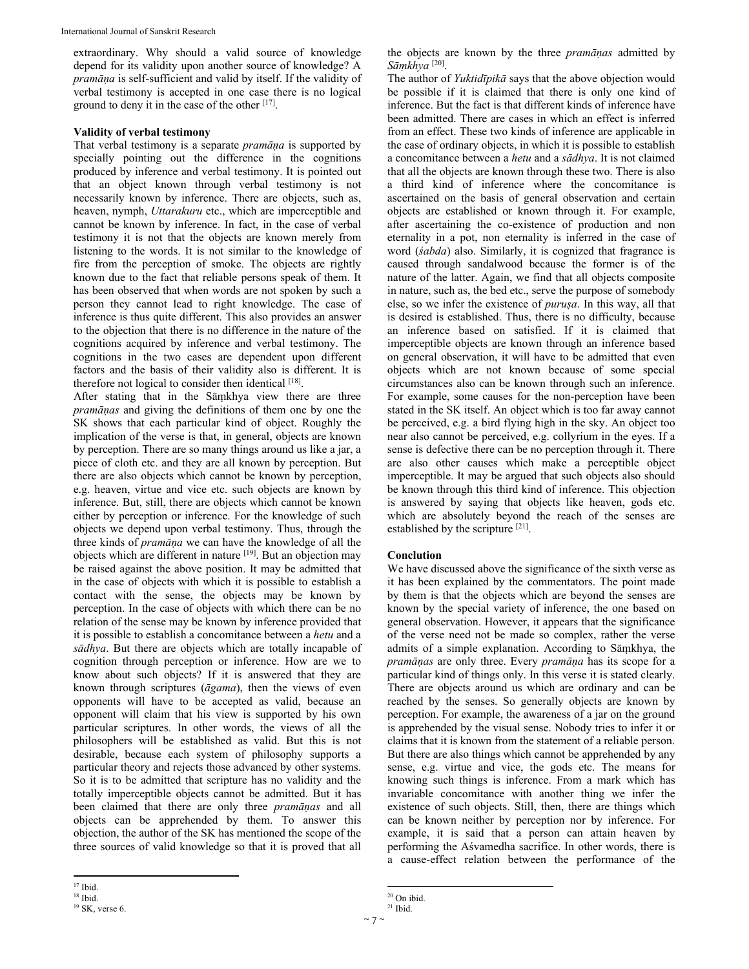extraordinary. Why should a valid source of knowledge depend for its validity upon another source of knowledge? A *pramāṇa* is self-sufficient and valid by itself. If the validity of verbal testimony is accepted in one case there is no logical ground to deny it in the case of the other [17].

#### **Validity of verbal testimony**

That verbal testimony is a separate *pramāṇa* is supported by specially pointing out the difference in the cognitions produced by inference and verbal testimony. It is pointed out that an object known through verbal testimony is not necessarily known by inference. There are objects, such as, heaven, nymph, *Uttarakuru* etc., which are imperceptible and cannot be known by inference. In fact, in the case of verbal testimony it is not that the objects are known merely from listening to the words. It is not similar to the knowledge of fire from the perception of smoke. The objects are rightly known due to the fact that reliable persons speak of them. It has been observed that when words are not spoken by such a person they cannot lead to right knowledge. The case of inference is thus quite different. This also provides an answer to the objection that there is no difference in the nature of the cognitions acquired by inference and verbal testimony. The cognitions in the two cases are dependent upon different factors and the basis of their validity also is different. It is therefore not logical to consider then identical [18].

After stating that in the Sāṃkhya view there are three *pramāṇas* and giving the definitions of them one by one the SK shows that each particular kind of object. Roughly the implication of the verse is that, in general, objects are known by perception. There are so many things around us like a jar, a piece of cloth etc. and they are all known by perception. But there are also objects which cannot be known by perception, e.g. heaven, virtue and vice etc. such objects are known by inference. But, still, there are objects which cannot be known either by perception or inference. For the knowledge of such objects we depend upon verbal testimony. Thus, through the three kinds of *pramāṇa* we can have the knowledge of all the objects which are different in nature [19]. But an objection may be raised against the above position. It may be admitted that in the case of objects with which it is possible to establish a contact with the sense, the objects may be known by perception. In the case of objects with which there can be no relation of the sense may be known by inference provided that it is possible to establish a concomitance between a *hetu* and a *sādhya*. But there are objects which are totally incapable of cognition through perception or inference. How are we to know about such objects? If it is answered that they are known through scriptures (*āgama*), then the views of even opponents will have to be accepted as valid, because an opponent will claim that his view is supported by his own particular scriptures. In other words, the views of all the philosophers will be established as valid. But this is not desirable, because each system of philosophy supports a particular theory and rejects those advanced by other systems. So it is to be admitted that scripture has no validity and the totally imperceptible objects cannot be admitted. But it has been claimed that there are only three *pramāṇas* and all objects can be apprehended by them. To answer this objection, the author of the SK has mentioned the scope of the three sources of valid knowledge so that it is proved that all the objects are known by the three *pramāṇas* admitted by *Sāṃkhya* [20].

The author of *Yuktidīpikā* says that the above objection would be possible if it is claimed that there is only one kind of inference. But the fact is that different kinds of inference have been admitted. There are cases in which an effect is inferred from an effect. These two kinds of inference are applicable in the case of ordinary objects, in which it is possible to establish a concomitance between a *hetu* and a *sādhya*. It is not claimed that all the objects are known through these two. There is also a third kind of inference where the concomitance is ascertained on the basis of general observation and certain objects are established or known through it. For example, after ascertaining the co-existence of production and non eternality in a pot, non eternality is inferred in the case of word (*śabda*) also. Similarly, it is cognized that fragrance is caused through sandalwood because the former is of the nature of the latter. Again, we find that all objects composite in nature, such as, the bed etc., serve the purpose of somebody else, so we infer the existence of *puruṣa*. In this way, all that is desired is established. Thus, there is no difficulty, because an inference based on satisfied. If it is claimed that imperceptible objects are known through an inference based on general observation, it will have to be admitted that even objects which are not known because of some special circumstances also can be known through such an inference. For example, some causes for the non-perception have been stated in the SK itself. An object which is too far away cannot be perceived, e.g. a bird flying high in the sky. An object too near also cannot be perceived, e.g. collyrium in the eyes. If a sense is defective there can be no perception through it. There are also other causes which make a perceptible object imperceptible. It may be argued that such objects also should be known through this third kind of inference. This objection is answered by saying that objects like heaven, gods etc. which are absolutely beyond the reach of the senses are established by the scripture [21].

#### **Conclution**

We have discussed above the significance of the sixth verse as it has been explained by the commentators. The point made by them is that the objects which are beyond the senses are known by the special variety of inference, the one based on general observation. However, it appears that the significance of the verse need not be made so complex, rather the verse admits of a simple explanation. According to Sāṃkhya, the *pramāṇas* are only three. Every *pramāṇa* has its scope for a particular kind of things only. In this verse it is stated clearly. There are objects around us which are ordinary and can be reached by the senses. So generally objects are known by perception. For example, the awareness of a jar on the ground is apprehended by the visual sense. Nobody tries to infer it or claims that it is known from the statement of a reliable person. But there are also things which cannot be apprehended by any sense, e.g. virtue and vice, the gods etc. The means for knowing such things is inference. From a mark which has invariable concomitance with another thing we infer the existence of such objects. Still, then, there are things which can be known neither by perception nor by inference. For example, it is said that a person can attain heaven by performing the Aśvamedha sacrifice. In other words, there is a cause-effect relation between the performance of the

 17 Ibid.

 $18$  Ibid.

<sup>19</sup> SK, verse 6.